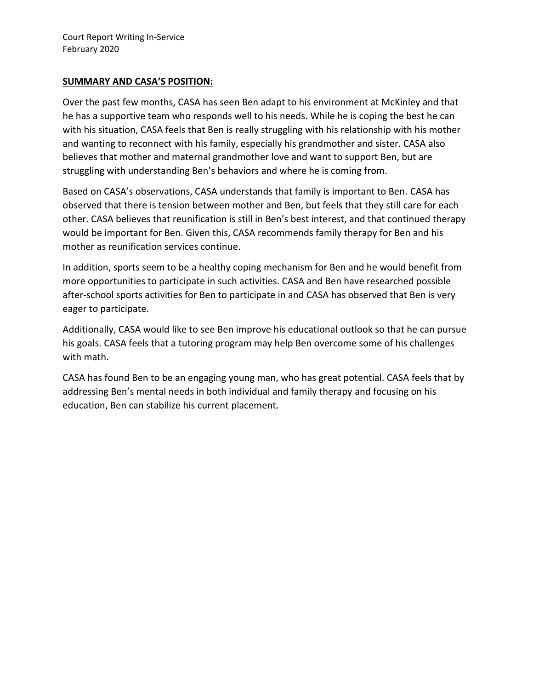#### **SUMMARY AND CASA'S POSITION:**

Over the past few months, CASA has seen Ben adapt to his environment at McKinley and that he has a supportive team who responds well to his needs. While he is coping the best he can with his situation, CASA feels that Ben is really struggling with his relationship with his mother and wanting to reconnect with his family, especially his grandmother and sister. CASA also believes that mother and maternal grandmother love and want to support Ben, but are struggling with understanding Ben's behaviors and where he is coming from.

Based on CASA's observations, CASA understands that family is important to Ben. CASA has observed that there is tension between mother and Ben, but feels that they still care for each other. CASA believes that reunification is still in Ben's best interest, and that continued therapy would be important for Ben. Given this, CASA recommends family therapy for Ben and his mother as reunification services continue.

In addition, sports seem to be a healthy coping mechanism for Ben and he would benefit from more opportunities to participate in such activities. CASA and Ben have researched possible after-school sports activities for Ben to participate in and CASA has observed that Ben is very eager to participate.

Additionally, CASA would like to see Ben improve his educational outlook so that he can pursue his goals. CASA feels that a tutoring program may help Ben overcome some of his challenges with math.

CASA has found Ben to be an engaging young man, who has great potential. CASA feels that by addressing Ben's mental needs in both individual and family therapy and focusing on his education, Ben can stabilize his current placement.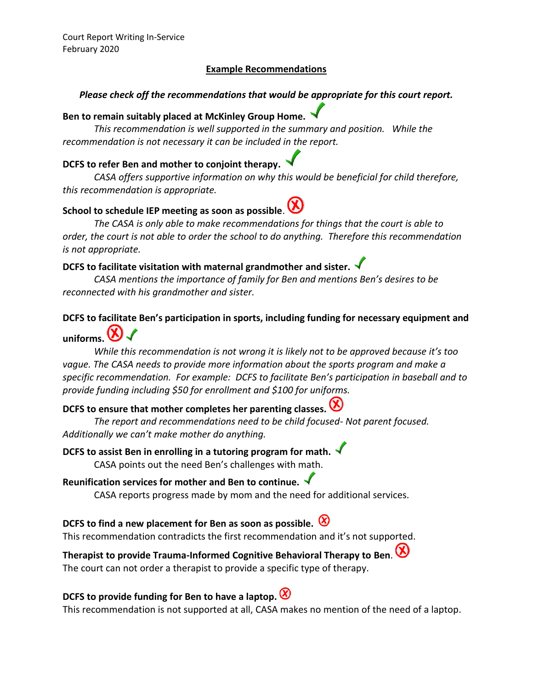### **Example Recommendations**

### *Please check off the recommendations that would be appropriate for this court report.*

# **Ben to remain suitably placed at McKinley Group Home.**

*This recommendation is well supported in the summary and position. While the recommendation is not necessary it can be included in the report.* 

### **DCFS to refer Ben and mother to conjoint therapy.**

*CASA offers supportive information on why this would be beneficial for child therefore, this recommendation is appropriate.* 

### **School to schedule IEP meeting as soon as possible**.

*The CASA is only able to make recommendations for things that the court is able to order, the court is not able to order the school to do anything. Therefore this recommendation is not appropriate.* 

### **DCFS to facilitate visitation with maternal grandmother and sister.**

*CASA mentions the importance of family for Ben and mentions Ben's desires to be reconnected with his grandmother and sister.* 

## **DCFS to facilitate Ben's participation in sports, including funding for necessary equipment and**

# **uniforms.**

*While this recommendation is not wrong it is likely not to be approved because it's too vague. The CASA needs to provide more information about the sports program and make a specific recommendation. For example: DCFS to facilitate Ben's participation in baseball and to provide funding including \$50 for enrollment and \$100 for uniforms.* 

# **DCFS to ensure that mother completes her parenting classes.** ( $\vee$

*The report and recommendations need to be child focused- Not parent focused. Additionally we can't make mother do anything.* 

### **DCFS to assist Ben in enrolling in a tutoring program for math.** CASA points out the need Ben's challenges with math.

# **Reunification services for mother and Ben to continue.**

CASA reports progress made by mom and the need for additional services.

### **DCFS to find a new placement for Ben as soon as possible.**

This recommendation contradicts the first recommendation and it's not supported.

## **Therapist to provide Trauma-Informed Cognitive Behavioral Therapy to Ben**. The court can not order a therapist to provide a specific type of therapy.

### **DCFS to provide funding for Ben to have a laptop.**

This recommendation is not supported at all, CASA makes no mention of the need of a laptop.